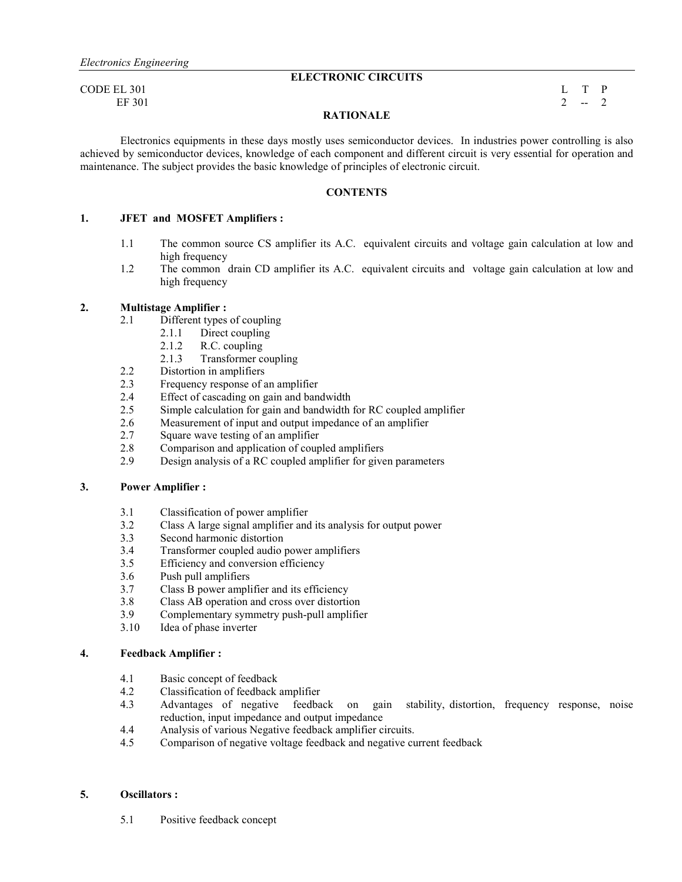## **ELECTRONIC CIRCUITS**

 $\Box$  CODE EL 301 L T P

EF 301 2  $-2$ 

## **RATIONALE**

Electronics equipments in these days mostly uses semiconductor devices. In industries power controlling is also achieved by semiconductor devices, knowledge of each component and different circuit is very essential for operation and maintenance. The subject provides the basic knowledge of principles of electronic circuit.

#### **CONTENTS**

#### **1. JFET and MOSFET Amplifiers :**

- 1.1 The common source CS amplifier its A.C. equivalent circuits and voltage gain calculation at low and high frequency
- 1.2 The common drain CD amplifier its A.C. equivalent circuits and voltage gain calculation at low and high frequency

#### **2. Multistage Amplifier :**

- 2.1 Different types of coupling
	- 2.1.1 Direct coupling
	- 2.1.2 R.C. coupling
	- 2.1.3 Transformer coupling
- 2.2 Distortion in amplifiers
- 2.3 Frequency response of an amplifier
- 2.4 Effect of cascading on gain and bandwidth
- 2.5 Simple calculation for gain and bandwidth for RC coupled amplifier
- 2.6 Measurement of input and output impedance of an amplifier
- 2.7 Square wave testing of an amplifier
- 2.8 Comparison and application of coupled amplifiers<br>2.9 Design analysis of a RC coupled amplifier for give
- Design analysis of a RC coupled amplifier for given parameters

#### **3. Power Amplifier :**

- 3.1 Classification of power amplifier
- 3.2 Class A large signal amplifier and its analysis for output power
- 3.3 Second harmonic distortion
- 3.4 Transformer coupled audio power amplifiers
- 3.5 Efficiency and conversion efficiency
- 3.6 Push pull amplifiers
- 3.7 Class B power amplifier and its efficiency
- 3.8 Class AB operation and cross over distortion
- 3.9 Complementary symmetry push-pull amplifier
- 3.10 Idea of phase inverter

#### **4. Feedback Amplifier :**

- 4.1 Basic concept of feedback<br>4.2 Classification of feedback
- 4.2 Classification of feedback amplifier
- 4.3 Advantages of negative feedback on gain stability, distortion, frequency response, noise reduction, input impedance and output impedance
- 4.4 Analysis of various Negative feedback amplifier circuits.
- 4.5 Comparison of negative voltage feedback and negative current feedback

#### **5. Oscillators :**

5.1 Positive feedback concept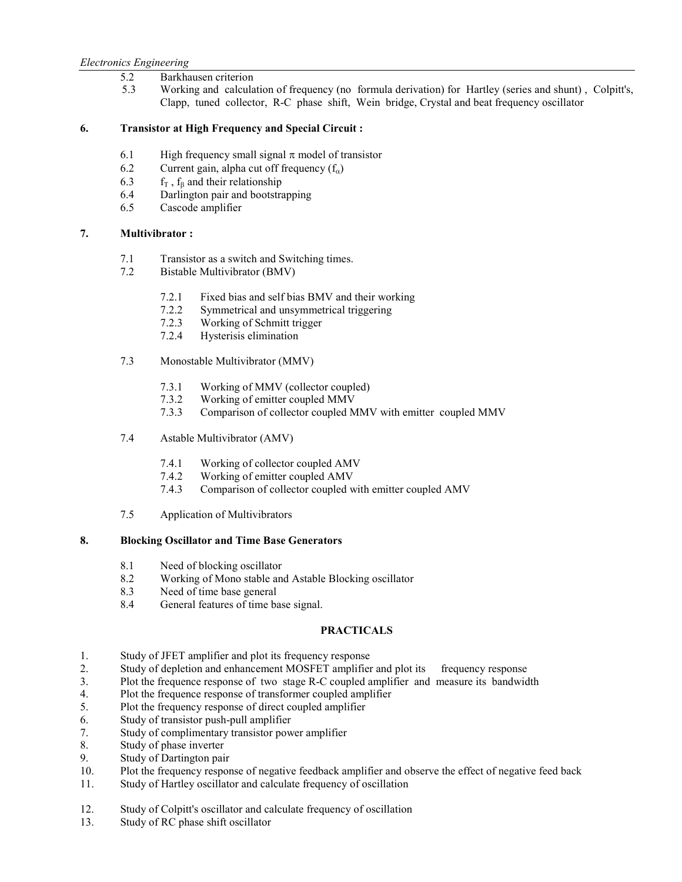## 5.2 Barkhausen criterion

5.3 Working and calculation of frequency (no formula derivation) for Hartley (series and shunt) , Colpitt's, Clapp, tuned collector, R-C phase shift, Wein bridge, Crystal and beat frequency oscillator

## **6. Transistor at High Frequency and Special Circuit :**

- 6.1 High frequency small signal  $\pi$  model of transistor
- 6.2 Current gain, alpha cut off frequency  $(f_{\alpha})$ <br>6.3  $f_{\Gamma}$ ,  $f_{\beta}$  and their relationship
- 6.3 f<sub>T</sub>,  $f_\beta$  and their relationship<br>6.4 Darlington pair and bootstra
- Darlington pair and bootstrapping
- 6.5 Cascode amplifier

## **7. Multivibrator :**

- 7.1 Transistor as a switch and Switching times.
- 7.2 Bistable Multivibrator (BMV)
	- 7.2.1 Fixed bias and self bias BMV and their working
	- 7.2.2 Symmetrical and unsymmetrical triggering
	- 7.2.3 Working of Schmitt trigger
	- 7.2.4 Hysterisis elimination
- 7.3 Monostable Multivibrator (MMV)
	- 7.3.1 Working of MMV (collector coupled)
	- 7.3.2 Working of emitter coupled MMV<br>7.3.3 Comparison of collector coupled M
	- 7.3.3 Comparison of collector coupled MMV with emitter coupled MMV
- 7.4 Astable Multivibrator (AMV)
	- 7.4.1 Working of collector coupled AMV
	- 7.4.2 Working of emitter coupled AMV<br>7.4.3 Comparison of collector coupled w
	- Comparison of collector coupled with emitter coupled AMV
- 7.5 Application of Multivibrators

## **8. Blocking Oscillator and Time Base Generators**

- 8.1 Need of blocking oscillator<br>8.2 Working of Mono stable and
- Working of Mono stable and Astable Blocking oscillator
- 8.3 Need of time base general
- 8.4 General features of time base signal.

## **PRACTICALS**

- 1. Study of JFET amplifier and plot its frequency response
- 2. Study of depletion and enhancement MOSFET amplifier and plot its frequency response
- 3. Plot the frequence response of two stage R-C coupled amplifier and measure its bandwidth
- 4. Plot the frequence response of transformer coupled amplifier
- 5. Plot the frequency response of direct coupled amplifier
- 6. Study of transistor push-pull amplifier
- 7. Study of complimentary transistor power amplifier
- 8. Study of phase inverter
- 9. Study of Dartington pair
- 10. Plot the frequency response of negative feedback amplifier and observe the effect of negative feed back
- 11. Study of Hartley oscillator and calculate frequency of oscillation
- 12. Study of Colpitt's oscillator and calculate frequency of oscillation
- 13. Study of RC phase shift oscillator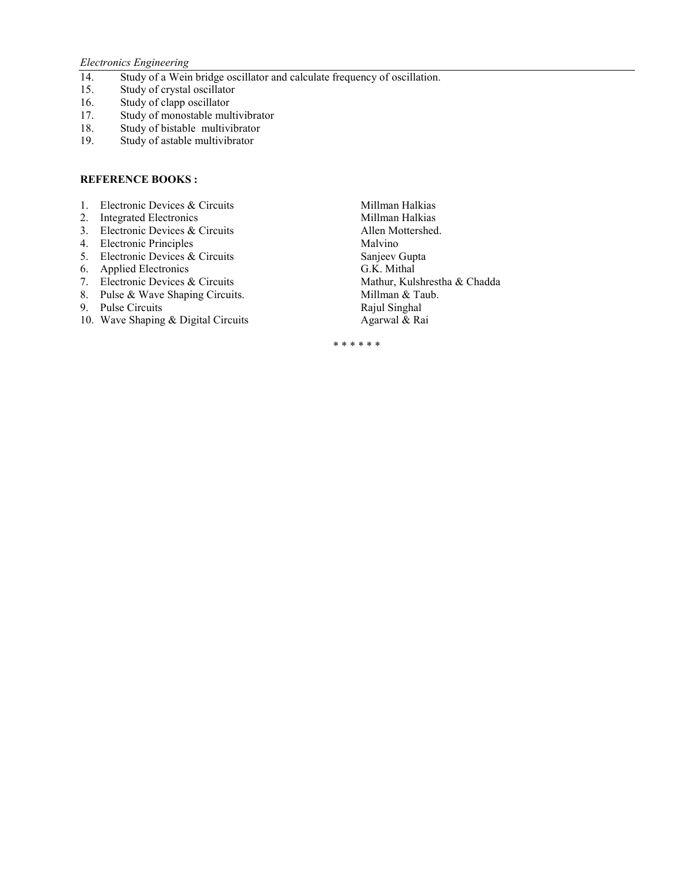## *Electronics Engineering*

- 14. Study of a Wein bridge oscillator and calculate frequency of oscillation.
- 15. Study of crystal oscillator
- 16. Study of clapp oscillator
- 17. Study of monostable multivibrator<br>18. Study of bistable multivibrator
- 18. Study of bistable multivibrator<br>19. Study of astable multivibrator
- Study of astable multivibrator

#### **REFERENCE BOOKS:**

- 
- 
- 3. Electronic Devices & Circuits
- 4. Electronic Principles Malvino
- 5. Electronic Devices & Circuits Sanjeev Gupta<br>
6. Applied Electronics G.K. Mithal
- 
- 7. Electronic Devices & Circuits Mathur, Kulshrestha & Chadda
- 8. Pulse & Wave Shaping Circuits. Millman & Taub.
- 9. Pulse Circuits Rajul Singhal
- 10. Wave Shaping & Digital Circuits Agarwal & Rai
- 1. Electronic Devices & Circuits **1. Integrated Electronics** 1. Millman Halkias 2. Integrated Electronics 2. Integrated Electronics<br>
3. Electronic Devices & Circuits<br>
Allen Mottershed. 6. Applied Electronics<br>
7. Electronic Devices & Circuits<br>
7. Electronic Devices & Circuits<br>
6. Mathur, Kulshrestha & Chadda

\* \* \* \* \* \*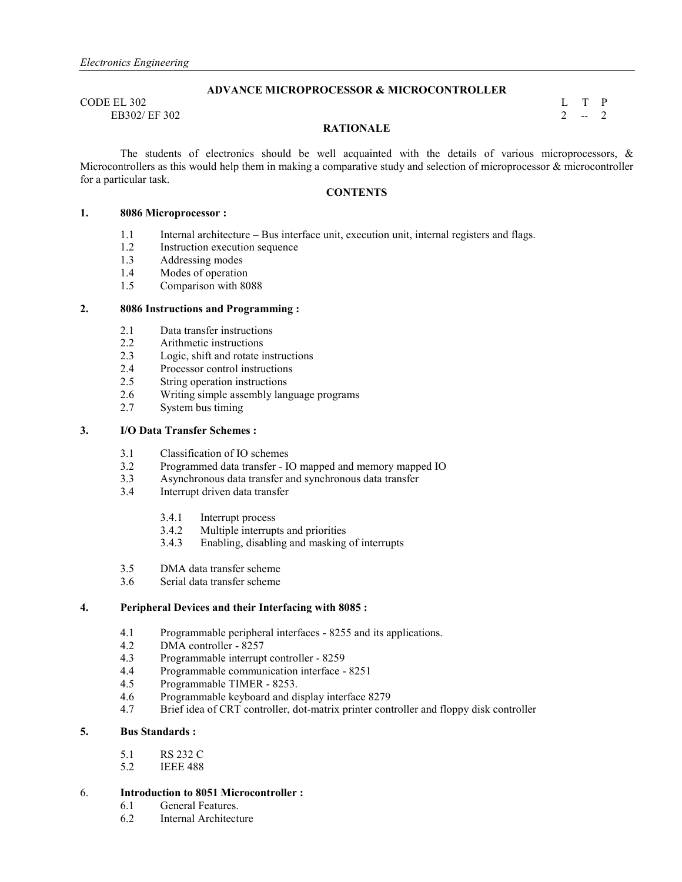#### **ADVANCE MICROPROCESSOR & MICROCONTROLLER**

 $\Box$  CODE EL 302 L T P EB302/ EF 302 2  $-2$ 

## **RATIONALE**

The students of electronics should be well acquainted with the details of various microprocessors,  $\&$ Microcontrollers as this would help them in making a comparative study and selection of microprocessor & microcontroller for a particular task.

## **CONTENTS**

#### **1. 8086 Microprocessor :**

- 1.1 Internal architecture Bus interface unit, execution unit, internal registers and flags.<br>1.2 Instruction execution sequence
- Instruction execution sequence
- 1.3 Addressing modes
- 1.4 Modes of operation
- 1.5 Comparison with 8088

#### **2. 8086 Instructions and Programming :**

- 
- 2.1 Data transfer instructions<br>2.2 Arithmetic instructions Arithmetic instructions
- 2.3 Logic, shift and rotate instructions
- 2.4 Processor control instructions<br>2.5 String operation instructions
- String operation instructions
- 2.6 Writing simple assembly language programs
- 2.7 System bus timing

#### **3. I/O Data Transfer Schemes :**

- 3.1 Classification of IO schemes<br>3.2 Programmed data transfer I
- 3.2 Programmed data transfer IO mapped and memory mapped IO
- 3.3 Asynchronous data transfer and synchronous data transfer
- Interrupt driven data transfer
	- 3.4.1 Interrupt process<br>3.4.2 Multiple interrup
	- Multiple interrupts and priorities
	- 3.4.3 Enabling, disabling and masking of interrupts
- 3.5 DMA data transfer scheme
- 3.6 Serial data transfer scheme

#### **4. Peripheral Devices and their Interfacing with 8085 :**

- 4.1 Programmable peripheral interfaces 8255 and its applications.<br>4.2 DMA controller 8257
- DMA controller 8257
- 4.3 Programmable interrupt controller 8259
- 4.4 Programmable communication interface 8251<br>4.5 Programmable TIMER 8253.
- Programmable TIMER 8253.
- 4.6 Programmable keyboard and display interface 8279
- 4.7 Brief idea of CRT controller, dot-matrix printer controller and floppy disk controller

#### **5. Bus Standards :**

- 5.1 RS 232 C
- 5.2 IEEE 488

#### 6. **Introduction to 8051 Microcontroller :**

- 6.1 General Features.
- 6.2 Internal Architecture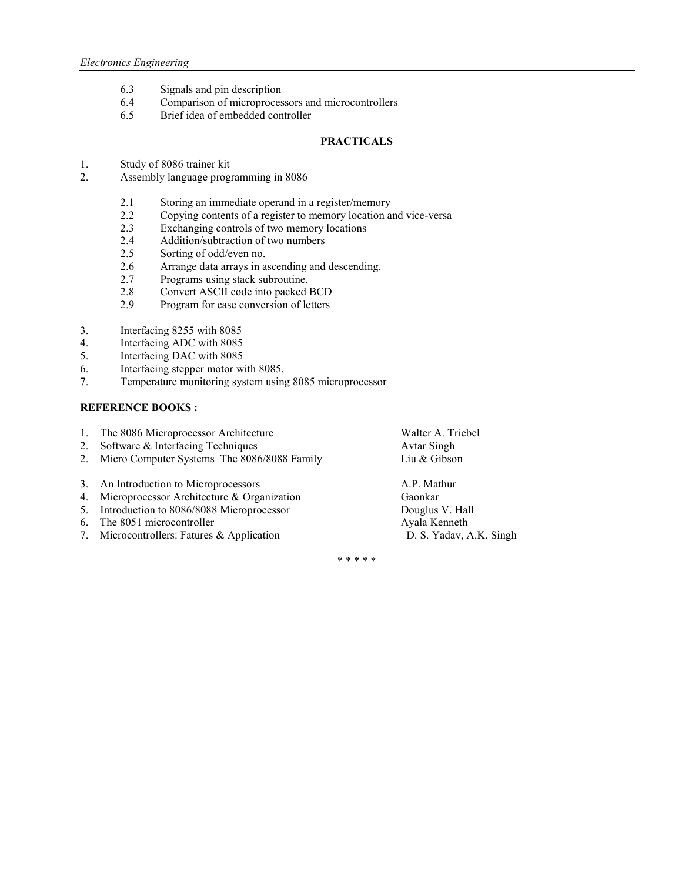- 6.3 Signals and pin description
- 6.4 Comparison of microprocessors and microcontrollers
- 6.5 Brief idea of embedded controller

## **PRACTICALS**

- 1. Study of 8086 trainer kit
- 2. Assembly language programming in 8086
	- 2.1 Storing an immediate operand in a register/memory
	- 2.2 Copying contents of a register to memory location and vice-versa<br>2.3 Exchanging controls of two memory locations
	- 2.3 Exchanging controls of two memory locations<br>2.4 Addition/subtraction of two numbers
	- Addition/subtraction of two numbers
	- 2.5 Sorting of odd/even no.
	- 2.6 Arrange data arrays in ascending and descending.
	- 2.7 Programs using stack subroutine.
	- 2.8 Convert ASCII code into packed BCD<br>2.9 Program for case conversion of letters
	- Program for case conversion of letters
- 
- 3. Interfacing 8255 with 8085<br>4. Interfacing ADC with 8085 Interfacing ADC with 8085
- 5. Interfacing DAC with 8085
- 6. Interfacing stepper motor with 8085.<br>7. Temperature monitoring system using
- 7. Temperature monitoring system using 8085 microprocessor

## **REFERENCE BOOKS :**

| 1. The 8086 Microprocessor Architecture        | Walter A. Triebel       |
|------------------------------------------------|-------------------------|
| 2. Software & Interfacing Techniques           | <b>Avtar Singh</b>      |
| 2. Micro Computer Systems The 8086/8088 Family | Liu & Gibson            |
| 3. An Introduction to Microprocessors          | A.P. Mathur             |
| 4. Microprocessor Architecture & Organization  | Gaonkar                 |
| 5. Introduction to 8086/8088 Microprocessor    | Douglus V. Hall         |
| 6. The 8051 microcontroller                    | Ayala Kenneth           |
| 7. Microcontrollers: Fatures & Application     | D. S. Yadav, A.K. Singh |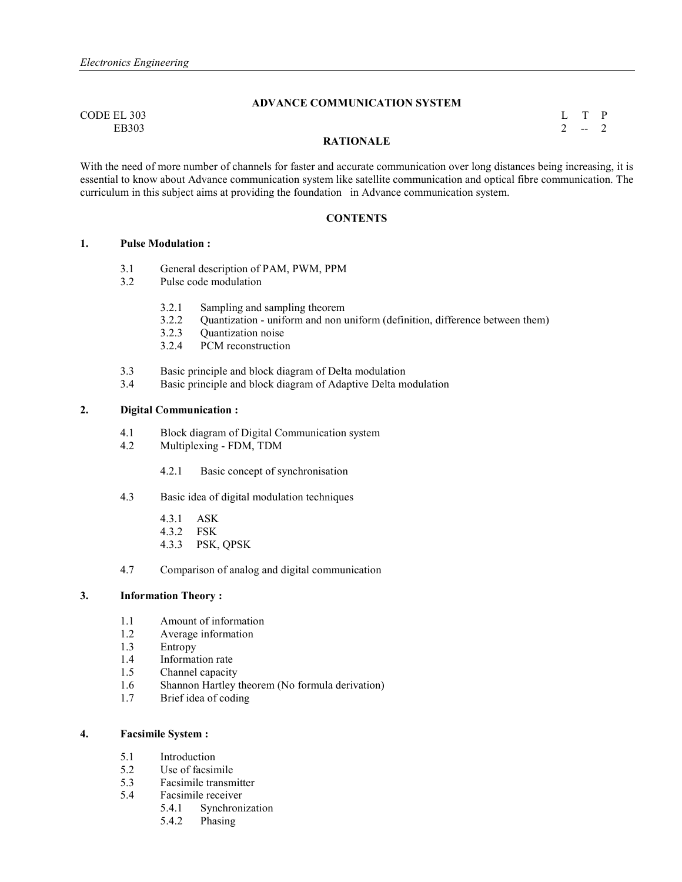## **ADVANCE COMMUNICATION SYSTEM**

 $\begin{array}{cccc}\n\text{CODE EL } 303 \\
\text{EB} 303\n\end{array}$ EB303 2  $-2$ 

#### **RATIONALE**

With the need of more number of channels for faster and accurate communication over long distances being increasing, it is essential to know about Advance communication system like satellite communication and optical fibre communication. The curriculum in this subject aims at providing the foundation in Advance communication system.

#### **CONTENTS**

#### **1. Pulse Modulation :**

- 3.1 General description of PAM, PWM, PPM
- 3.2 Pulse code modulation
	- 3.2.1 Sampling and sampling theorem
	- 3.2.2 Quantization uniform and non uniform (definition, difference between them)
	- 3.2.3 Quantization noise
	- 3.2.4 PCM reconstruction
- 3.3 Basic principle and block diagram of Delta modulation<br>3.4 Basic principle and block diagram of Adaptive Delta m
- Basic principle and block diagram of Adaptive Delta modulation

## **2. Digital Communication :**

- 4.1 Block diagram of Digital Communication system
- 4.2 Multiplexing FDM, TDM
	- 4.2.1 Basic concept of synchronisation
- 4.3 Basic idea of digital modulation techniques
	- 4.3.1 ASK
	- 4.3.2 FSK
	- 4.3.3 PSK, QPSK
- 4.7 Comparison of analog and digital communication

## **3. Information Theory :**

- 1.1 Amount of information
- 1.2 Average information
- 1.3 Entropy
- 1.4 Information rate
- 1.5 Channel capacity
- 1.6 Shannon Hartley theorem (No formula derivation)
- 1.7 Brief idea of coding

## **4. Facsimile System :**

- 5.1 Introduction
- 5.2 Use of facsimile
- 5.3 Facsimile transmitter
- 5.4 Facsimile receiver
	- 5.4.1 Synchronization<br>5.4.2 Phasing
	- Phasing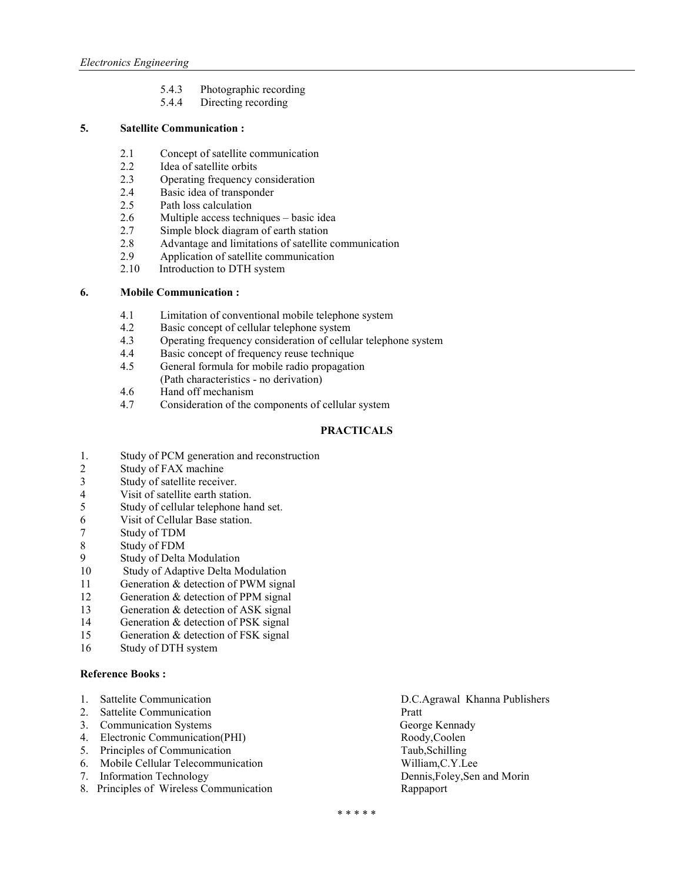- 5.4.3 Photographic recording
- 5.4.4 Directing recording

## **5. Satellite Communication :**

- 2.1 Concept of satellite communication
- 2.2 Idea of satellite orbits<br>2.3 Operating frequency c
- Operating frequency consideration
- 2.4 Basic idea of transponder<br>2.5 Path loss calculation
- Path loss calculation
- 2.6 Multiple access techniques basic idea<br>2.7 Simple block diagram of earth station
- Simple block diagram of earth station
- 2.8 Advantage and limitations of satellite communication
- 2.9 Application of satellite communication<br>2.10 Introduction to DTH system
- Introduction to DTH system

## **6. Mobile Communication :**

- 4.1 Limitation of conventional mobile telephone system
- 4.2 Basic concept of cellular telephone system<br>4.3 Operating frequency consideration of cellul
- 4.3 Operating frequency consideration of cellular telephone system
- 4.4 Basic concept of frequency reuse technique
- 4.5 General formula for mobile radio propagation (Path characteristics - no derivation)
- 4.6 Hand off mechanism
- 4.7 Consideration of the components of cellular system

## **PRACTICALS**

- 1. Study of PCM generation and reconstruction
- 2 Study of FAX machine
- 3 Study of satellite receiver.
- 4 Visit of satellite earth station.
- 5 Study of cellular telephone hand set.
- 6 Visit of Cellular Base station.
- 7 Study of TDM<br>8 Study of FDM
- Study of FDM
- 9 Study of Delta Modulation<br>10 Study of Adaptive Delta M
- **Study of Adaptive Delta Modulation**
- 11 Generation & detection of PWM signal
- 12 Generation & detection of PPM signal
- 13 Generation & detection of ASK signal
- 14 Generation & detection of PSK signal
- 15 Generation & detection of FSK signal
- 16 Study of DTH system

## **Reference Books :**

- 
- 
- 3. Communication Systems
- 4. Electronic Communication(PHI) Roody,Coolen
- 
- 5. Principles of Communication Taub,Schilling<br>
6. Mobile Cellular Telecommunication William,C.Y.Lee 6. Mobile Cellular Telecommunication
- 
- 8. Principles of Wireless Communication Rappaport
- 1. Sattelite Communication D.C.Agrawal Khanna Publishers 2. Sattelite Communication<br>
3. Communication Systems<br>
2. George Kennady<br>
2. George Kennady 7. Information Technology Dennis,Foley,Sen and Morin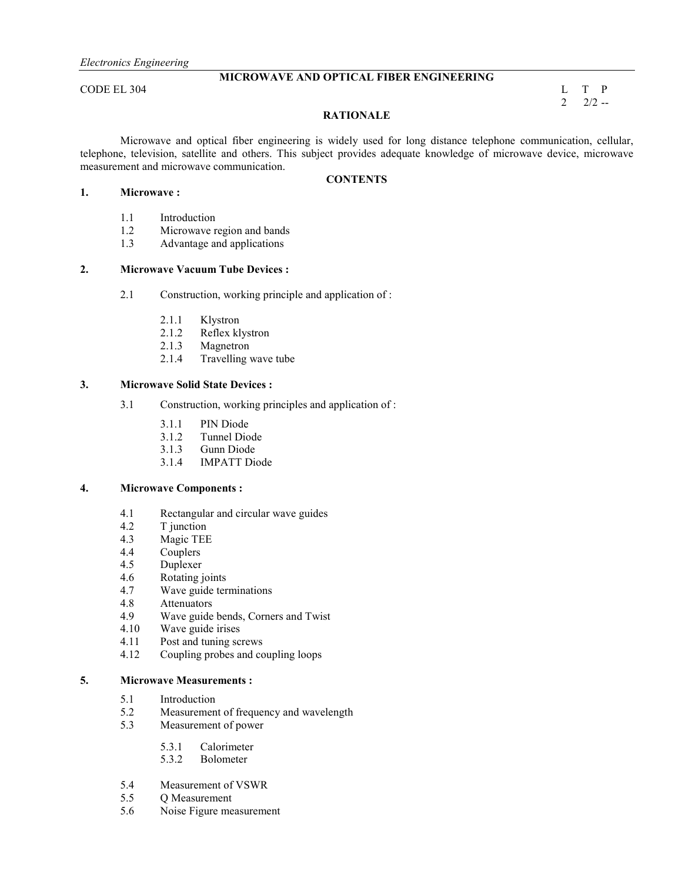## **MICROWAVE AND OPTICAL FIBER ENGINEERING**

CODE EL 304 L T P

 $2\frac{2}{2}$  -2

## **RATIONALE**

 Microwave and optical fiber engineering is widely used for long distance telephone communication, cellular, telephone, television, satellite and others. This subject provides adequate knowledge of microwave device, microwave measurement and microwave communication.

### **CONTENTS**

- **1. Microwave :** 
	- 1.1 Introduction<br>1.2 Microwave r
	- Microwave region and bands
	- 1.3 Advantage and applications

## **2. Microwave Vacuum Tube Devices :**

- 2.1 Construction, working principle and application of :
	- 2.1.1 Klystron
	- 2.1.2 Reflex klystron<br>2.1.3 Magnetron
	- Magnetron
	- 2.1.4 Travelling wave tube

#### **3. Microwave Solid State Devices :**

- 3.1 Construction, working principles and application of :
	- 3.1.1 PIN Diode<br>3.1.2 Tunnel Dio
	- Tunnel Diode
	- 3.1.3 Gunn Diode
	- 3.1.4 IMPATT Diode

#### **4. Microwave Components :**

- 4.1 Rectangular and circular wave guides
- 4.2 T junction
- 4.3 Magic TEE<br>4.4 Couplers
- **Couplers**
- 4.5 Duplexer
- 4.6 Rotating joints<br>4.7 Wave guide term
- Wave guide terminations
- 4.8 Attenuators
- 4.9 Wave guide bends, Corners and Twist
- 4.10 Wave guide irises
- 4.11 Post and tuning screws
- 4.12 Coupling probes and coupling loops

#### **5. Microwave Measurements :**

- 5.1 Introduction
- 5.2 Measurement of frequency and wavelength<br>5.3 Measurement of power
- Measurement of power
	- 5.3.1 Calorimeter
	- 5.3.2 Bolometer
- 5.4 Measurement of VSWR
- 5.5 Q Measurement
- 5.6 Noise Figure measurement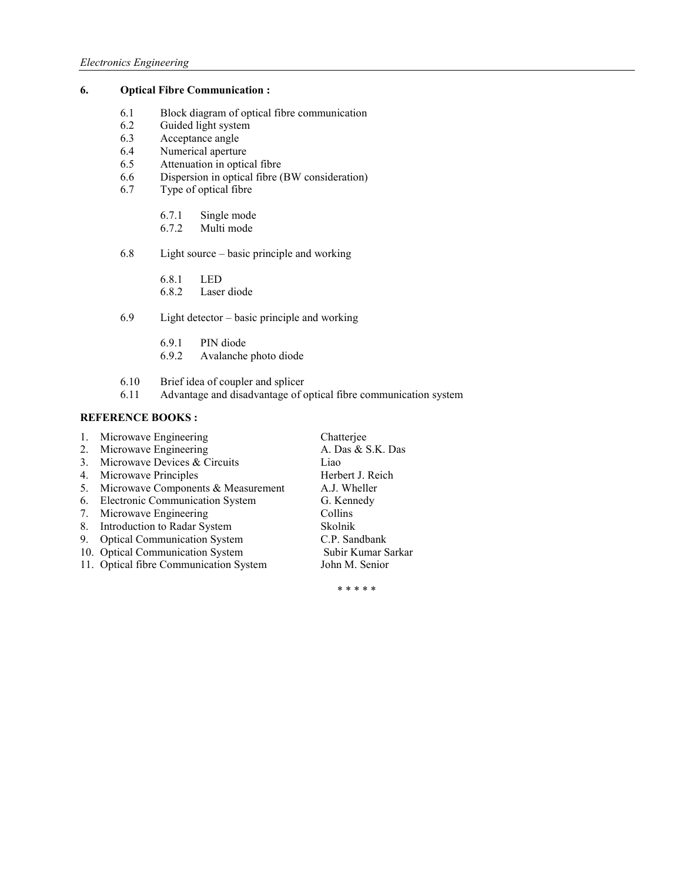## **6. Optical Fibre Communication :**

- 6.1 Block diagram of optical fibre communication<br>6.2 Guided light system
- Guided light system
- 6.3 Acceptance angle<br>6.4 Numerical apertur
- Numerical aperture
- 6.5 Attenuation in optical fibre
- 6.6 Dispersion in optical fibre (BW consideration)<br>6.7 Type of optical fibre
- Type of optical fibre
	- 6.7.1 Single mode<br>6.7.2 Multi mode
	- Multi mode
- 6.8 Light source basic principle and working
	- 6.8.1 LED
	- 6.8.2 Laser diode
- 6.9 Light detector basic principle and working
	- 6.9.1 PIN diode
	- 6.9.2 Avalanche photo diode
- 6.10 Brief idea of coupler and splicer
- 6.11 Advantage and disadvantage of optical fibre communication system

## **REFERENCE BOOKS:**

| 1. | Microwave Engineering                  | Chatterjee         |
|----|----------------------------------------|--------------------|
| 2. | Microwave Engineering                  | A. Das & S.K. Das  |
| 3. | Microwave Devices & Circuits           | Liao               |
| 4. | Microwave Principles                   | Herbert J. Reich   |
| 5. | Microwave Components & Measurement     | A.J. Wheller       |
| 6. | Electronic Communication System        | G. Kennedy         |
| 7. | Microwave Engineering                  | Collins            |
| 8. | Introduction to Radar System           | Skolnik            |
| 9. | <b>Optical Communication System</b>    | C.P. Sandbank      |
|    | 10. Optical Communication System       | Subir Kumar Sarkar |
|    | 11. Optical fibre Communication System | John M. Senior     |
|    |                                        |                    |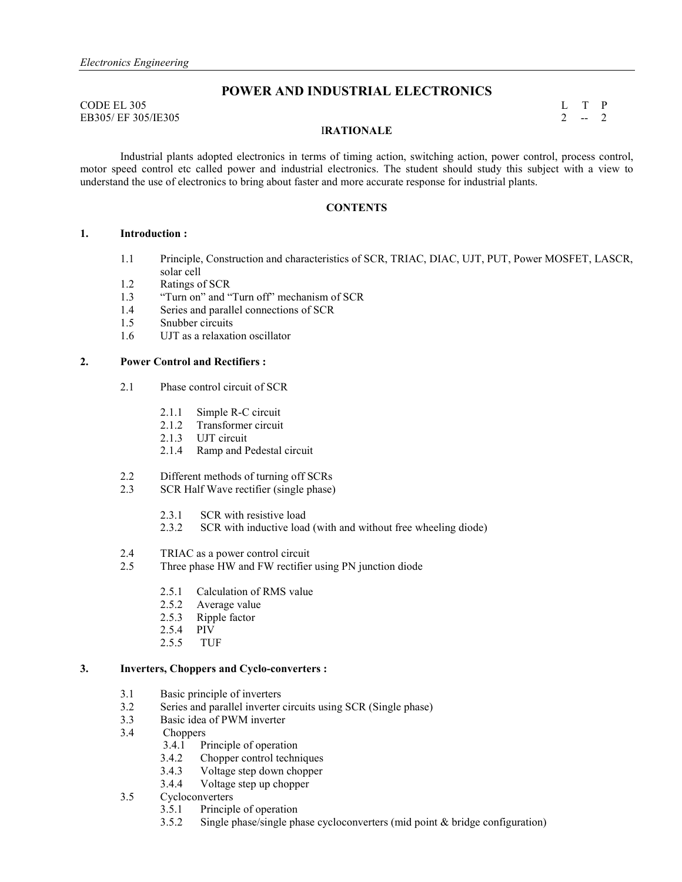CODE EL 305 L T P EB305/ EF 305/IE305 2 -- 2

## **POWER AND INDUSTRIAL ELECTRONICS**

## **IRATIONALE**

 Industrial plants adopted electronics in terms of timing action, switching action, power control, process control, motor speed control etc called power and industrial electronics. The student should study this subject with a view to understand the use of electronics to bring about faster and more accurate response for industrial plants.

## **CONTENTS**

## **1. Introduction :**

- 1.1 Principle, Construction and characteristics of SCR, TRIAC, DIAC, UJT, PUT, Power MOSFET, LASCR, solar cell
- 1.2 Ratings of SCR
- 1.3 "Turn on" and "Turn off" mechanism of SCR
- 1.4 Series and parallel connections of SCR
- 1.5 Snubber circuits
- 1.6 UJT as a relaxation oscillator

## **2. Power Control and Rectifiers :**

- 2.1 Phase control circuit of SCR
	- 2.1.1 Simple R-C circuit
	- 2.1.2 Transformer circuit
	- 2.1.3 UJT circuit
	- 2.1.4 Ramp and Pedestal circuit
- 2.2 Different methods of turning off SCRs<br>2.3 SCR Half Wave rectifier (single phase)
- SCR Half Wave rectifier (single phase)
	- 2.3.1 SCR with resistive load<br>2.3.2 SCR with inductive load
	- SCR with inductive load (with and without free wheeling diode)
- 2.4 TRIAC as a power control circuit<br>2.5 Three phase HW and FW rectifier
- Three phase HW and FW rectifier using PN junction diode
	- 2.5.1 Calculation of RMS value
	- 2.5.2 Average value
	- 2.5.3 Ripple factor
	- 2.5.4 PIV<br>2.5.5 TUF
	- $2.5.5$

### **3. Inverters, Choppers and Cyclo-converters :**

- 3.1 Basic principle of inverters
- 3.2 Series and parallel inverter circuits using SCR (Single phase)
- 3.3 Basic idea of PWM inverter
- 3.4 Choppers
	- 3.4.1 Principle of operation
	- 3.4.2 Chopper control techniques
	- 3.4.3 Voltage step down chopper
- 3.4.4 Voltage step up chopper<br>3.5 Cycloconverters
- **Cycloconverters** 
	- 3.5.1 Principle of operation
	- 3.5.2 Single phase/single phase cycloconverters (mid point & bridge configuration)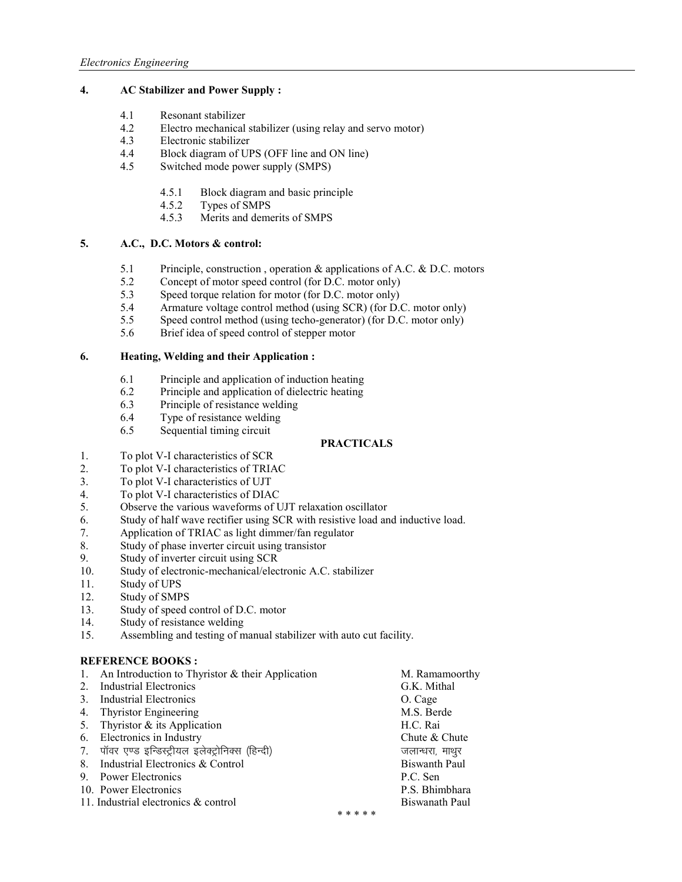## **4. AC Stabilizer and Power Supply :**

- 4.1 Resonant stabilizer<br>4.2 Electro mechanical
- 4.2 Electro mechanical stabilizer (using relay and servo motor)<br>4.3 Electronic stabilizer
- 4.3 Electronic stabilizer<br>4.4 Block diagram of UI
- Block diagram of UPS (OFF line and ON line)
- 4.5 Switched mode power supply (SMPS)
	- 4.5.1 Block diagram and basic principle
	- 4.5.2 Types of SMPS
	- 4.5.3 Merits and demerits of SMPS

## **5. A.C., D.C. Motors & control:**

- 5.1 Principle, construction , operation & applications of A.C. & D.C. motors
- 5.2 Concept of motor speed control (for D.C. motor only)<br>5.3 Speed torque relation for motor (for D.C. motor only)
- 5.3 Speed torque relation for motor (for D.C. motor only)<br>5.4 Armature voltage control method (using SCR) (for D.
- Armature voltage control method (using SCR) (for D.C. motor only)
- 5.5 Speed control method (using techo-generator) (for D.C. motor only)
- 5.6 Brief idea of speed control of stepper motor

## **6. Heating, Welding and their Application :**

- 6.1 Principle and application of induction heating
- 6.2 Principle and application of dielectric heating
- 6.3 Principle of resistance welding
- 6.4 Type of resistance welding
- 6.5 Sequential timing circuit

## **PRACTICALS**

- 1. To plot V-I characteristics of SCR
- 2. To plot V-I characteristics of TRIAC
- 3. To plot V-I characteristics of UJT
- 4. To plot V-I characteristics of DIAC
- 5. Observe the various waveforms of UJT relaxation oscillator
- 6. Study of half wave rectifier using SCR with resistive load and inductive load.<br>
7. Application of TRIAC as light dimmer/fan regulator
- Application of TRIAC as light dimmer/fan regulator
- 8. Study of phase inverter circuit using transistor
- 9. Study of inverter circuit using SCR<br>10. Study of electronic-mechanical/electronic
- Study of electronic-mechanical/electronic A.C. stabilizer
- 11. Study of UPS
- 12. Study of SMPS
- 13. Study of speed control of D.C. motor
- 14. Study of resistance welding
- 15. Assembling and testing of manual stabilizer with auto cut facility.

## **REFERENCE BOOKS:**

|    | An Introduction to Thyristor $&$ their Application |       | M. Ramamoorthy       |
|----|----------------------------------------------------|-------|----------------------|
| 2  | Industrial Electronics                             |       | G.K. Mithal          |
| 3  | Industrial Electronics                             |       | O. Cage              |
| 4. | Thyristor Engineering                              |       | M.S. Berde           |
| 5. | Thyristor & its Application                        |       | H.C. Rai             |
| 6. | Electronics in Industry                            |       | Chute & Chute        |
| 7. | पॉवर एण्ड इन्डिस्ट्रीयल इलेक्ट्रोनिक्स (हिन्दी)    |       | जलान्धरा, माथुर      |
| 8  | Industrial Electronics & Control                   |       | <b>Biswanth Paul</b> |
| 9. | <b>Power Electronics</b>                           |       | P.C. Sen             |
|    | 10. Power Electronics                              |       | P.S. Bhimbhara       |
|    | 11. Industrial electronics & control               |       | Biswanath Paul       |
|    |                                                    | * * * |                      |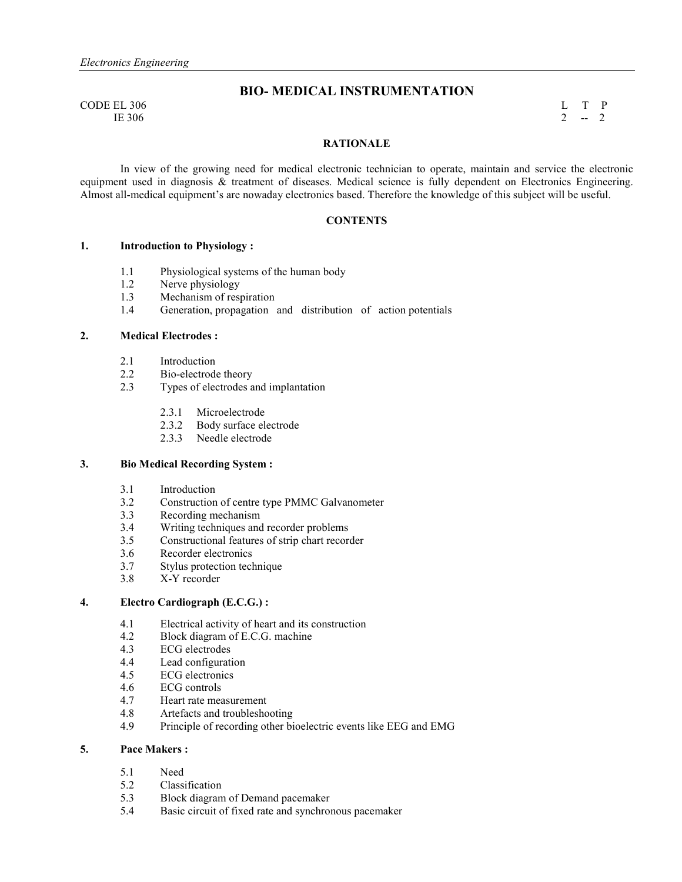$\begin{array}{cccc}\n\text{CODE EL } 306 \\
\text{IE } 306\n\end{array}$ IE 306 2  $-2$ 

## **BIO- MEDICAL INSTRUMENTATION**

#### **RATIONALE**

In view of the growing need for medical electronic technician to operate, maintain and service the electronic equipment used in diagnosis & treatment of diseases. Medical science is fully dependent on Electronics Engineering. Almost all-medical equipment's are nowaday electronics based. Therefore the knowledge of this subject will be useful.

#### **CONTENTS**

#### **1. Introduction to Physiology :**

- 1.1 Physiological systems of the human body
- 1.2 Nerve physiology
- 1.3 Mechanism of respiration
- 1.4 Generation, propagation and distribution of action potentials

## **2. Medical Electrodes :**

- 2.1 Introduction<br>2.2 Bio-electrode
- 2.2 Bio-electrode theory<br>2.3 Types of electrodes a
- Types of electrodes and implantation
	- 2.3.1 Microelectrode
	- 2.3.2 Body surface electrode
	- 2.3.3 Needle electrode

## **3. Bio Medical Recording System :**

- 3.1 Introduction<br>3.2 Construction
- Construction of centre type PMMC Galvanometer
- 3.3 Recording mechanism<br>3.4 Writing techniques and
- 3.4 Writing techniques and recorder problems
- 3.5 Constructional features of strip chart recorder
- 3.6 Recorder electronics<br>3.7 Stylus protection tech
- Stylus protection technique
- 3.8 X-Y recorder

## **4. Electro Cardiograph (E.C.G.) :**

- 4.1 Electrical activity of heart and its construction<br>4.2 Block diagram of E.C.G. machine
- 4.2 Block diagram of E.C.G. machine
- 4.3 ECG electrodes<br>4.4 Lead configurati
- 4.4 Lead configuration<br>4.5 ECG electronics
- ECG electronics
- 4.6 ECG controls
- 4.7 Heart rate measurement
- 4.8 Artefacts and troubleshooting
- 4.9 Principle of recording other bioelectric events like EEG and EMG

#### **5. Pace Makers :**

- 5.1 Need<br>5.2 Classi
- Classification
- 5.3 Block diagram of Demand pacemaker
- 5.4 Basic circuit of fixed rate and synchronous pacemaker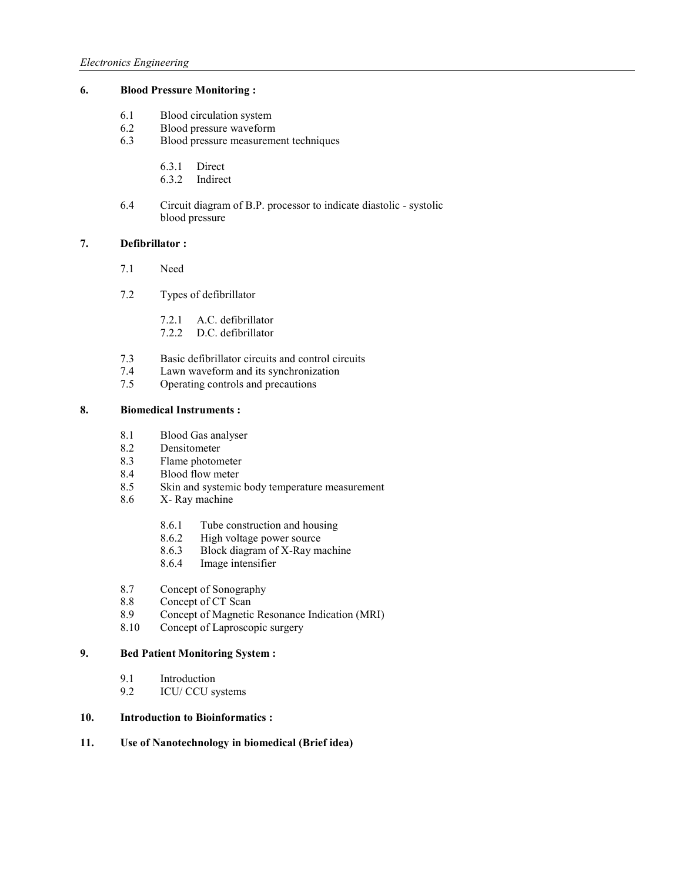## **6. Blood Pressure Monitoring :**

- 6.1 Blood circulation system<br>6.2 Blood pressure waveform
- 6.2 Blood pressure waveform<br>6.3 Blood pressure measurement
- Blood pressure measurement techniques
	- 6.3.1 Direct
	- 6.3.2 Indirect
- 6.4 Circuit diagram of B.P. processor to indicate diastolic systolic blood pressure

## **7. Defibrillator :**

- 7.1 Need
- 7.2 Types of defibrillator
	- 7.2.1 A.C. defibrillator
	- 7.2.2 D.C. defibrillator
- 7.3 Basic defibrillator circuits and control circuits
- 7.4 Lawn waveform and its synchronization<br>7.5 Operating controls and precautions
- Operating controls and precautions

## **8. Biomedical Instruments :**

- 8.1 Blood Gas analyser
- 8.2 Densitometer<br>8.3 Flame photom
- Flame photometer
- 8.4 Blood flow meter
- 8.5 Skin and systemic body temperature measurement
- 8.6 X- Ray machine
	- 8.6.1 Tube construction and housing
	- 8.6.2 High voltage power source<br>8.6.3 Block diagram of X-Ray ma
	- Block diagram of X-Ray machine
	- 8.6.4 Image intensifier
- 8.7 Concept of Sonography
- 8.8 Concept of CT Scan<br>8.9 Concept of Magnetic
- Concept of Magnetic Resonance Indication (MRI)
- 8.10 Concept of Laproscopic surgery

## **9. Bed Patient Monitoring System :**

- 9.1 Introduction<br>9.2 ICU/CCU sy
- ICU/ CCU systems

## **10. Introduction to Bioinformatics :**

## 11. Use of Nanotechnology in biomedical (Brief idea)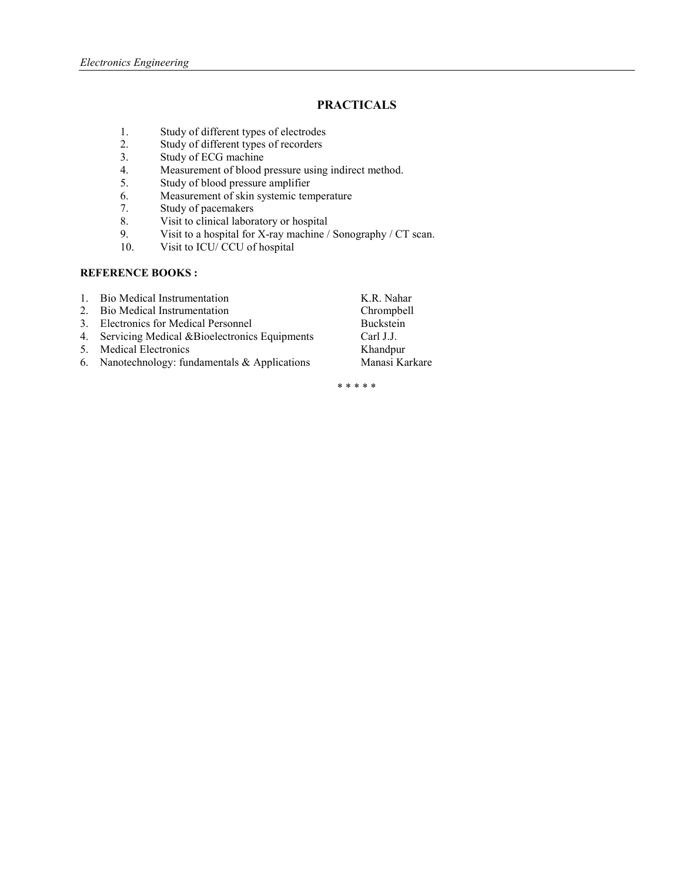## **PRACTICALS**

- 1. Study of different types of electrodes<br>2. Study of different types of recorders
- 2. Study of different types of recorders<br>3. Study of ECG machine
- Study of ECG machine
- 4. Measurement of blood pressure using indirect method.<br>5. Study of blood pressure amplifier
- 5. Study of blood pressure amplifier<br>6. Measurement of skin systemic ten
- Measurement of skin systemic temperature
- 7. Study of pacemakers<br>8. Visit to clinical labors
- 8. Visit to clinical laboratory or hospital<br>9. Visit to a hospital for X-ray machine /
- Visit to a hospital for X-ray machine / Sonography / CT scan.
- 10. Visit to ICU/ CCU of hospital

## **REFERENCE BOOKS:**

| Bio Medical Instrumentation |
|-----------------------------|
|                             |

- 2. Bio Medical Instrumentation
- 
- 3. Electronics for Medical Personnel Buckstein<br>
4. Servicing Medical &Bioelectronics Equipments Carl J.J. 4. Servicing Medical &Bioelectronics Equipments Carl J.J.<br>5. Medical Electronics Khandpur
- 5. Medical Electronics
- 6. Nanotechnology: fundamentals & Applications Manasi Karkare

K.R. Nahar<br>Chrompbell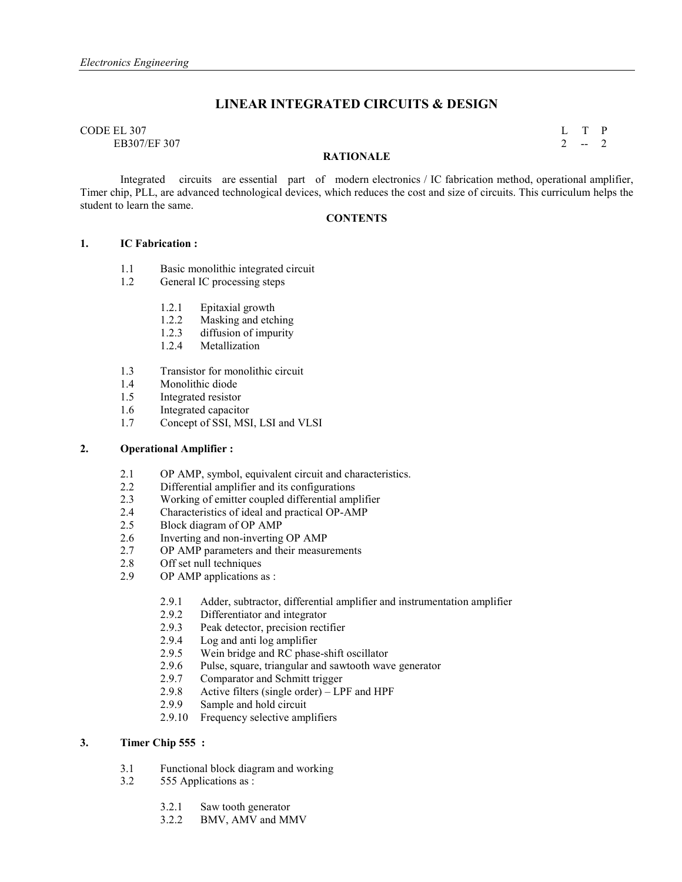## **LINEAR INTEGRATED CIRCUITS & DESIGN**

# $\Box$  CODE EL 307 L T P

EB307/EF 307 2  $-2$ 

#### **RATIONALE**

Integrated circuits are essential part of modern electronics / IC fabrication method, operational amplifier, Timer chip, PLL, are advanced technological devices, which reduces the cost and size of circuits. This curriculum helps the student to learn the same.

## **CONTENTS**

#### **1. IC Fabrication :**

- 1.1 Basic monolithic integrated circuit<br>1.2 General IC processing steps
- General IC processing steps
	- 1.2.1 Epitaxial growth
	- 1.2.2 Masking and etching
	- 1.2.3 diffusion of impurity
	- 1.2.4 Metallization
- 1.3 Transistor for monolithic circuit<br>1.4 Monolithic diode
- Monolithic diode
- 1.5 Integrated resistor
- 1.6 Integrated capacitor
- 1.7 Concept of SSI, MSI, LSI and VLSI

## **2. Operational Amplifier :**

- 2.1 OP AMP, symbol, equivalent circuit and characteristics.
- 2.2 Differential amplifier and its configurations
- 2.3 Working of emitter coupled differential amplifier
- 2.4 Characteristics of ideal and practical OP-AMP
- 2.5 Block diagram of OP AMP
- 2.6 Inverting and non-inverting OP AMP
- 2.7 OP AMP parameters and their measurements
- 2.8 Off set null techniques
- 2.9 OP AMP applications as :
	- 2.9.1 Adder, subtractor, differential amplifier and instrumentation amplifier 2.9.2 Differentiator and integrator
	- Differentiator and integrator
	- 2.9.3 Peak detector, precision rectifier
	- 2.9.4 Log and anti log amplifier
	- 2.9.5 Wein bridge and RC phase-shift oscillator
	- 2.9.6 Pulse, square, triangular and sawtooth wave generator
	- 2.9.7 Comparator and Schmitt trigger<br>2.9.8 Active filters (single order)  $LP$
	- 2.9.8 Active filters (single order) LPF and HPF<br>2.9.9 Sample and hold circuit
	- Sample and hold circuit
	- 2.9.10 Frequency selective amplifiers

## **3. Timer Chip 555 :**

- 3.1 Functional block diagram and working
- 3.2 555 Applications as :
	- 3.2.1 Saw tooth generator
	- 3.2.2 BMV, AMV and MMV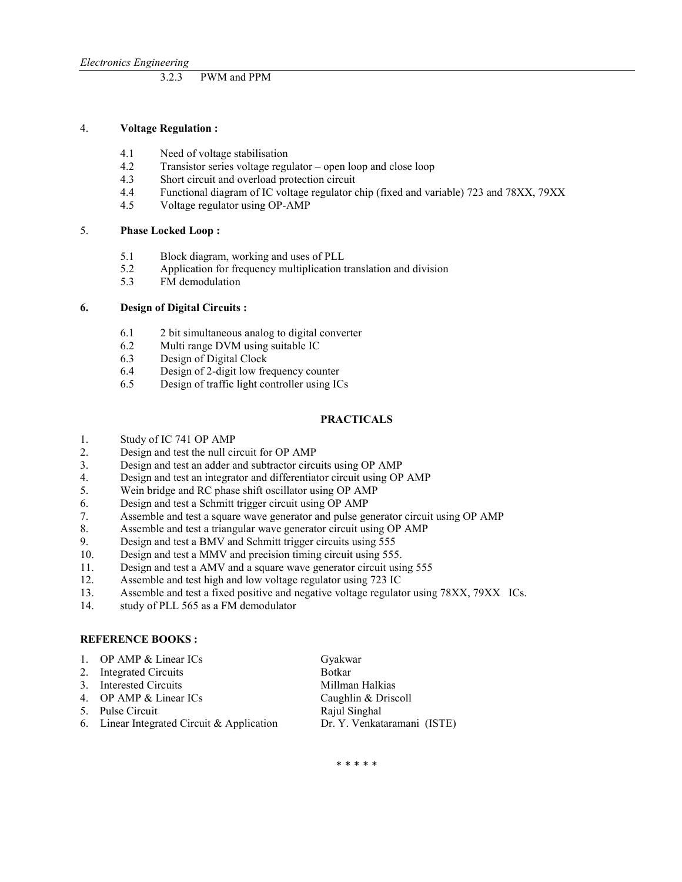#### 3.2.3 PWM and PPM

#### 4. **Voltage Regulation :**

- 4.1 Need of voltage stabilisation
- 4.2 Transistor series voltage regulator open loop and close loop
- 4.3 Short circuit and overload protection circuit
- 4.4 Functional diagram of IC voltage regulator chip (fixed and variable) 723 and 78XX, 79XX
- 4.5 Voltage regulator using OP-AMP

#### 5. **Phase Locked Loop :**

- 5.1 Block diagram, working and uses of PLL<br>5.2 Application for frequency multiplication t
- 5.2 Application for frequency multiplication translation and division FM demodulation
- FM demodulation

#### **6. Design of Digital Circuits :**

- 6.1 2 bit simultaneous analog to digital converter
- 6.2 Multi range DVM using suitable IC
- 6.3 Design of Digital Clock
- 6.4 Design of 2-digit low frequency counter<br>6.5 Design of traffic light controller using IC
- Design of traffic light controller using ICs

#### **PRACTICALS**

- 1. Study of IC 741 OP AMP
- 2. Design and test the null circuit for OP AMP
- 3. Design and test an adder and subtractor circuits using OP AMP<br>4. Design and test an integrator and differentiator circuit using OP
- 4. Design and test an integrator and differentiator circuit using OP AMP
- 5. Wein bridge and RC phase shift oscillator using OP AMP
- 6. Design and test a Schmitt trigger circuit using OP AMP<br>7. Assemble and test a square wave generator and pulse ge
- Assemble and test a square wave generator and pulse generator circuit using OP AMP
- 8. Assemble and test a triangular wave generator circuit using OP AMP
- 9. Design and test a BMV and Schmitt trigger circuits using 555<br>10. Design and test a MMV and precision timing circuit using 555
- Design and test a MMV and precision timing circuit using 555.
- 11. Design and test a AMV and a square wave generator circuit using 555
- 
- 12. Assemble and test high and low voltage regulator using 723 IC<br>13. Assemble and test a fixed positive and negative voltage regulate Assemble and test a fixed positive and negative voltage regulator using 78XX, 79XX ICs.
- 14. study of PLL 565 as a FM demodulator

#### **REFERENCE BOOKS:**

| 1. OP AMP $& Linear ICs$                   | Gyakwar                     |
|--------------------------------------------|-----------------------------|
| 2. Integrated Circuits                     | <b>Botkar</b>               |
| 3. Interested Circuits                     | Millman Halkias             |
| 4. OP AMP & Linear ICs                     | Caughlin & Driscoll         |
| 5. Pulse Circuit                           | Rajul Singhal               |
| 6. Linear Integrated Circuit & Application | Dr. Y. Venkataramani (ISTE) |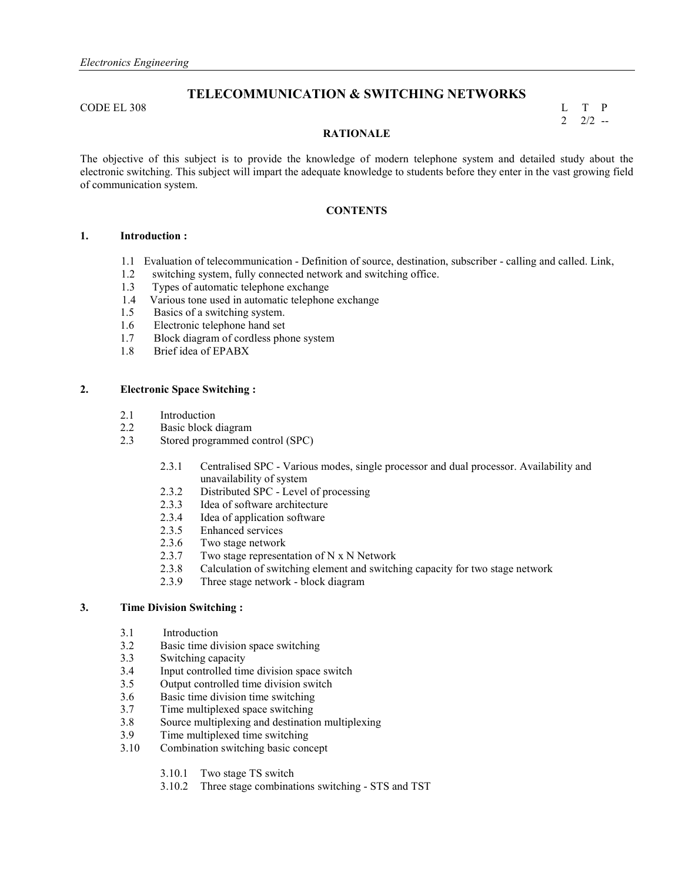## **TELECOMMUNICATION & SWITCHING NETWORKS**

 $\Box$  CODE EL 308 L T P

 $2\frac{2}{2}$  --

#### **RATIONALE**

The objective of this subject is to provide the knowledge of modern telephone system and detailed study about the electronic switching. This subject will impart the adequate knowledge to students before they enter in the vast growing field of communication system.

## **CONTENTS**

## **1. Introduction :**

- 1.1 Evaluation of telecommunication Definition of source, destination, subscriber calling and called. Link,
- 1.2 switching system, fully connected network and switching office.
	- 1.3 Types of automatic telephone exchange<br>1.4 Various tone used in automatic telephone
	- Various tone used in automatic telephone exchange
	- 1.5 Basics of a switching system.
	- 1.6 Electronic telephone hand set
	- 1.7 Block diagram of cordless phone system
	- 1.8 Brief idea of EPABX

## **2. Electronic Space Switching :**

- 2.1 Introduction
- 2.2 Basic block diagram<br>2.3 Stored programmed c
- Stored programmed control (SPC)
	- 2.3.1 Centralised SPC Various modes, single processor and dual processor. Availability and unavailability of system
	- 2.3.2 Distributed SPC Level of processing
	- 2.3.3 Idea of software architecture
	- 2.3.4 Idea of application software
	- 2.3.5 Enhanced services
	- 2.3.6 Two stage network
	- 2.3.7 Two stage representation of N x N Network<br>2.3.8 Calculation of switching element and switch
	- 2.3.8 Calculation of switching element and switching capacity for two stage network
	- 2.3.9 Three stage network block diagram

## **3. Time Division Switching :**

- 3.1 Introduction<br>3.2 Basic time div
- Basic time division space switching
- 3.3 Switching capacity
- 3.4 Input controlled time division space switch<br>3.5 Output controlled time division switch
- Output controlled time division switch
- 3.6 Basic time division time switching
- 3.7 Time multiplexed space switching<br>3.8 Source multiplexing and destination
- 3.8 Source multiplexing and destination multiplexing
- 3.9 Time multiplexed time switching
- 3.10 Combination switching basic concept
	- 3.10.1 Two stage TS switch
	- 3.10.2 Three stage combinations switching STS and TST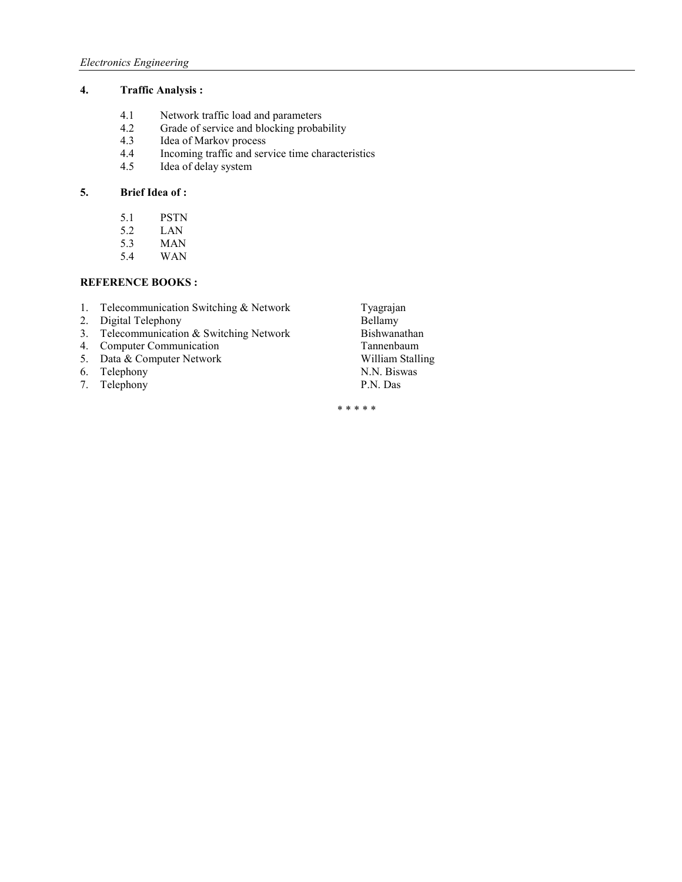## **4. Traffic Analysis :**

- 4.1 Network traffic load and parameters<br>4.2 Grade of service and blocking probal
- 4.2 Grade of service and blocking probability<br>4.3 Idea of Markov process
- 4.3 Idea of Markov process<br>4.4 Incoming traffic and ser
- 4.4 Incoming traffic and service time characteristics<br>4.5 Idea of delay system
- Idea of delay system

## **5. Brief Idea of :**

- 
- 5.1 PSTN<br>5.2 LAN LAN
- 5.3 MAN
- 5.4 WAN

## **REFERENCE BOOKS:**

- 1. Telecommunication Switching & Network Tyagrajan<br>2. Digital Telephony Bellamy
- 
- 2. Digital Telephony<br>
2. Digital Telephony<br>
2. Digital Telephony<br>
3. Telecommunication & Switching Network<br>
Bishwanathan 3. Telecommunication & Switching Network Bishwanathan<br>4. Computer Communication Tannenbaum
- 
- 5. Data & Computer Network William Stall<br>
6. Telephony N.N. Biswas
- 6. Telephony
- 7. Telephony P.N. Das
- 4. Computer Communication<br>
5. Data & Computer Network<br>
William Stalling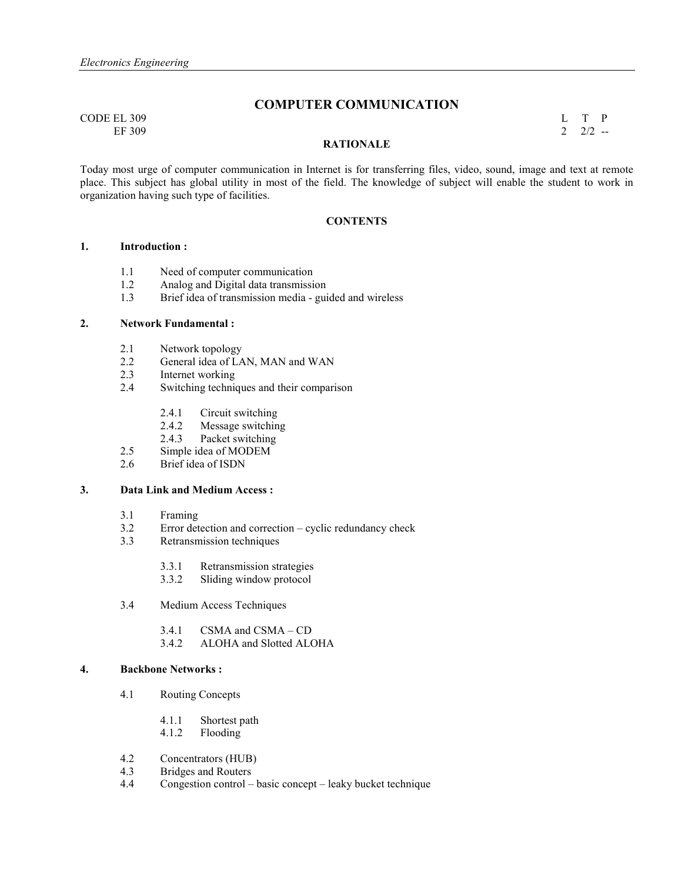## **COMPUTER COMMUNICATION**

 $\Box$  CODE EL 309 L T P EF 309 2 2/2  $-$ 

#### **RATIONALE**

Today most urge of computer communication in Internet is for transferring files, video, sound, image and text at remote place. This subject has global utility in most of the field. The knowledge of subject will enable the student to work in organization having such type of facilities.

#### **CONTENTS**

## **1. Introduction :**

- 1.1 Need of computer communication<br>1.2 Analog and Digital data transmissi
- 1.2 Analog and Digital data transmission
- 1.3 Brief idea of transmission media guided and wireless

## **2.** Network Fundamental :

- 2.1 Network topology<br>2.2 General idea of LA
- 2.2 General idea of LAN, MAN and WAN<br>2.3 Internet working
- Internet working
- 2.4 Switching techniques and their comparison
	- 2.4.1 Circuit switching<br>2.4.2 Message switchin
	- Message switching
	- 2.4.3 Packet switching
- 2.5 Simple idea of MODEM
- 2.6 Brief idea of ISDN

## **3. Data Link and Medium Access :**

- 3.1 Framing<br>3.2 Error det
- Error detection and correction cyclic redundancy check
- 3.3 Retransmission techniques
	- 3.3.1 Retransmission strategies
	- 3.3.2 Sliding window protocol
- 3.4 Medium Access Techniques
	- 3.4.1 CSMA and CSMA CD
	- 3.4.2 ALOHA and Slotted ALOHA

### **4.** Backbone Networks :

- 4.1 Routing Concepts
	- 4.1.1 Shortest path
	- 4.1.2 Flooding
- 4.2 Concentrators (HUB)<br>4.3 Bridges and Routers
- 4.3 Bridges and Routers<br>4.4 Congestion control –
- Congestion control basic concept leaky bucket technique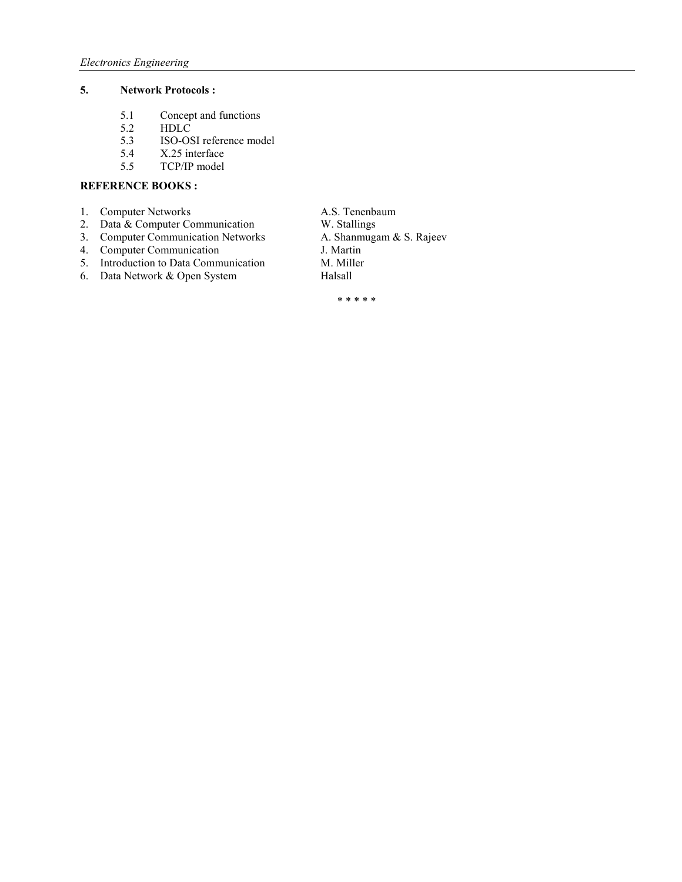## **5.** Network Protocols :

- 5.1 Concept and functions<br>5.2 HDLC
- 5.2 HDLC<br>5.3 ISO-OS
- 5.3 ISO-OSI reference model<br>5.4 X.25 interface
- 5.4 X.25 interface<br>5.5 TCP/IP model
- 5.5 TCP/IP model

## **REFERENCE BOOKS:**

- 1. Computer Networks **A.S. Tenenbaum**
- 
- 3. Computer Communication Networks
- 4. Computer Communication J. Martin
- 5. Introduction to Data Communication M. Miller<br>6. Data Network & Open System Halsall
- 6. Data Network & Open System
- 2. Data & Computer Communication<br>
3. Computer Communication Networks<br>
A. Shanmugam & S. Rajeev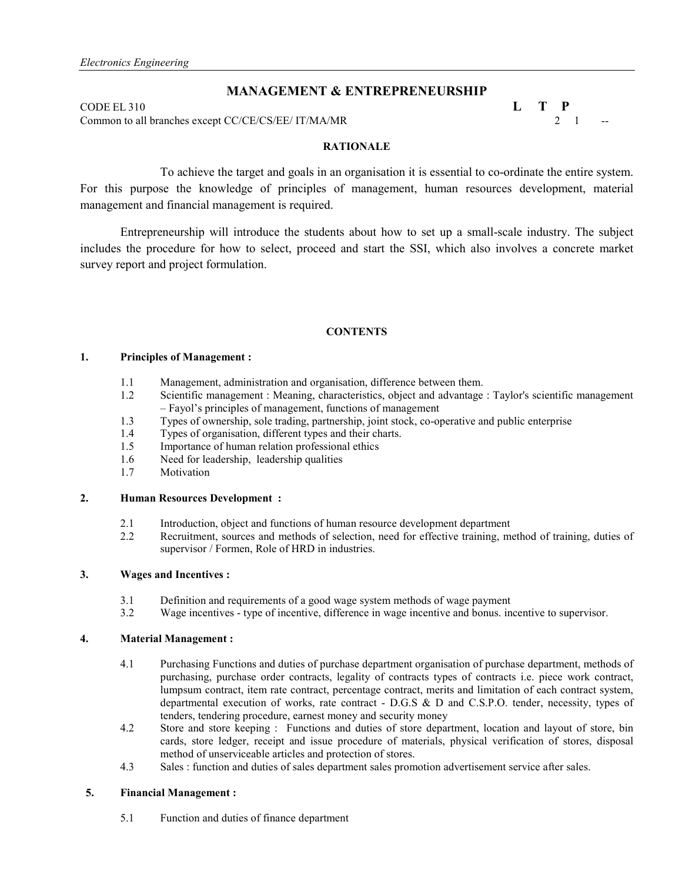## **MANAGEMENT & ENTREPRENEURSHIP**

CODE EL 310  $\qquad \qquad$   $\qquad \qquad$   $\qquad \qquad$   $\qquad \qquad$   $\qquad \qquad$   $\qquad \qquad$   $\qquad \qquad$   $\qquad \qquad$   $\qquad \qquad$   $\qquad \qquad$   $\qquad \qquad$   $\qquad \qquad$   $\qquad \qquad$   $\qquad \qquad$   $\qquad \qquad$   $\qquad \qquad$   $\qquad \qquad$   $\qquad \qquad$   $\qquad \qquad$   $\qquad \qquad$   $\qquad \qquad$   $\qquad \qquad$   $\qquad \qquad$   $\$ 

Common to all branches except CC/CE/CS/EE/ IT/MA/MR 2 1

## **RATIONALE**

 To achieve the target and goals in an organisation it is essential to co-ordinate the entire system. For this purpose the knowledge of principles of management, human resources development, material management and financial management is required.

Entrepreneurship will introduce the students about how to set up a small-scale industry. The subject includes the procedure for how to select, proceed and start the SSI, which also involves a concrete market survey report and project formulation.

#### **CONTENTS**

## **1. Principles of Management :**

- 1.1 Management, administration and organisation, difference between them.
- 1.2 Scientific management : Meaning, characteristics, object and advantage : Taylor's scientific management – Fayol's principles of management, functions of management
- 1.3 Types of ownership, sole trading, partnership, joint stock, co-operative and public enterprise
- 1.4 Types of organisation, different types and their charts.
- 1.5 Importance of human relation professional ethics<br>1.6 Need for leadership, leadership qualities
- Need for leadership, leadership qualities
- 1.7 Motivation

## **2. Human Resources Development :**

- 2.1 Introduction, object and functions of human resource development department<br>2.2 Recruitment sources and methods of selection need for effective training ma
- 2.2 Recruitment, sources and methods of selection, need for effective training, method of training, duties of supervisor / Formen, Role of HRD in industries.

## **3. Wages and Incentives :**

- 3.1 Definition and requirements of a good wage system methods of wage payment 3.2 Wage incentives type of incentive difference in wage incentive and bonus, in
- Wage incentives type of incentive, difference in wage incentive and bonus. incentive to supervisor.

#### **4. Material Management :**

- 4.1 Purchasing Functions and duties of purchase department organisation of purchase department, methods of purchasing, purchase order contracts, legality of contracts types of contracts i.e. piece work contract, lumpsum contract, item rate contract, percentage contract, merits and limitation of each contract system, departmental execution of works, rate contract - D.G.S & D and C.S.P.O. tender, necessity, types of tenders, tendering procedure, earnest money and security money
- 4.2 Store and store keeping : Functions and duties of store department, location and layout of store, bin cards, store ledger, receipt and issue procedure of materials, physical verification of stores, disposal method of unserviceable articles and protection of stores.
- 4.3 Sales : function and duties of sales department sales promotion advertisement service after sales.

### **5. Financial Management :**

5.1 Function and duties of finance department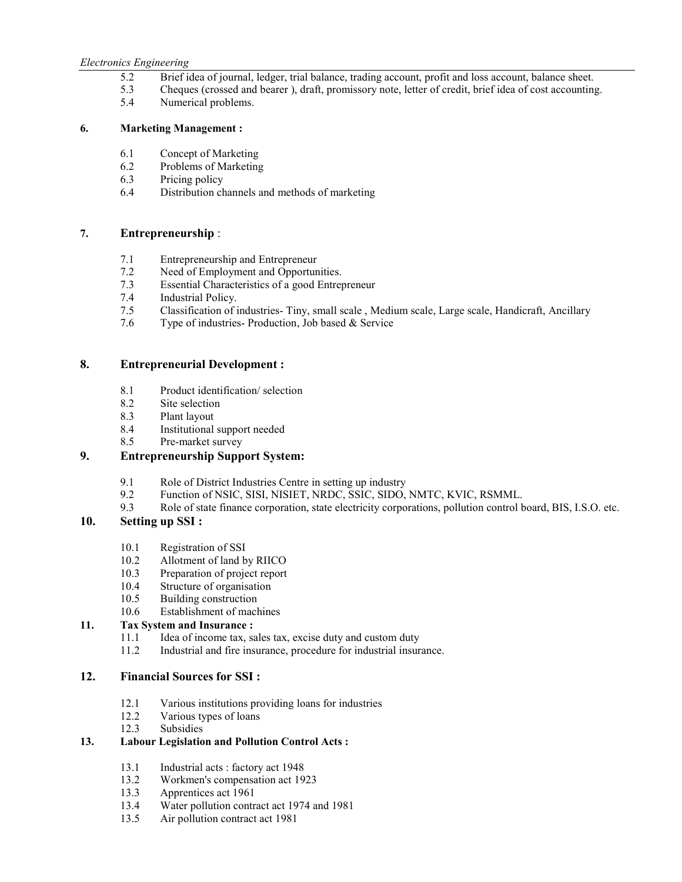#### *Electronics Engineering*

- 5.2 Brief idea of journal, ledger, trial balance, trading account, profit and loss account, balance sheet.
- 5.3 Cheques (crossed and bearer ), draft, promissory note, letter of credit, brief idea of cost accounting.
- 5.4 Numerical problems.

## **6. Marketing Management :**

- 6.1 Concept of Marketing
- 6.2 Problems of Marketing
- 6.3 Pricing policy
- 6.4 Distribution channels and methods of marketing

## **7. Entrepreneurship** :

- 7.1 Entrepreneurship and Entrepreneur
- 7.2 Need of Employment and Opportunities.<br>7.3 Essential Characteristics of a good Entrem
- Essential Characteristics of a good Entrepreneur
- 7.4 Industrial Policy.
- 7.5 Classification of industries- Tiny, small scale , Medium scale, Large scale, Handicraft, Ancillary
- 7.6 Type of industries- Production, Job based & Service

## **8. Entrepreneurial Development :**

- 8.1 Product identification/ selection
- 8.2 Site selection<br>8.3 Plant layout
- 8.3 Plant layout<br>8.4 Institutional
- Institutional support needed
- 8.5 Pre-market survey

## **9. Entrepreneurship Support System:**

- 9.1 Role of District Industries Centre in setting up industry
- 9.2 Function of NSIC, SISI, NISIET, NRDC, SSIC, SIDO, NMTC, KVIC, RSMML.<br>9.3 Role of state finance corporation, state electricity corporations, pollution control b
- 9.3 Role of state finance corporation, state electricity corporations, pollution control board, BIS, I.S.O. etc.

## **10. Setting up SSI :**

- 10.1 Registration of SSI
- 10.2 Allotment of land by RIICO
- 10.3 Preparation of project report
- 10.4 Structure of organisation
- 10.5 Building construction
- 10.6 Establishment of machines

## **11. Tax System and Insurance :**

- 11.1 Idea of income tax, sales tax, excise duty and custom duty
- 11.2 Industrial and fire insurance, procedure for industrial insurance.

## **12. Financial Sources for SSI :**

- 12.1 Various institutions providing loans for industries<br>12.2 Various types of loans
- 12.2 Various types of loans<br>12.3 Subsidies
- Subsidies

## **13. Labour Legislation and Pollution Control Acts :**

- 13.1 Industrial acts : factory act 1948<br>13.2 Workmen's compensation act 19
- 13.2 Workmen's compensation act 1923<br>13.3 Apprentices act 1961
- 13.3 Apprentices act 1961
- 13.4 Water pollution contract act 1974 and 1981
- 13.5 Air pollution contract act 1981